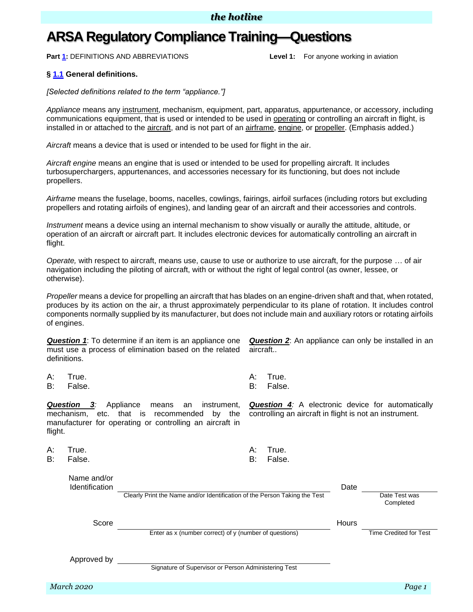## **ARSA Regulatory Compliance Training—Questions**

**Part [1:](https://www.ecfr.gov/cgi-bin/text-idx?SID=ecaf9c8a5cfd4362f727e5fe79a96701&mc=true&tpl=/ecfrbrowse/Title14/14cfr1_main_02.tpl)** DEFINITIONS AND ABBREVIATIONS **Level 1:** For anyone working in aviation

### **§ [1.1](https://www.ecfr.gov/cgi-bin/text-idx?SID=ecaf9c8a5cfd4362f727e5fe79a96701&mc=true&node=se14.1.1_11&rgn=div8) General definitions.**

*[Selected definitions related to the term "appliance."]*

*Appliance* means any instrument, mechanism, equipment, part, apparatus, appurtenance, or accessory, including communications equipment, that is used or intended to be used in operating or controlling an aircraft in flight, is installed in or attached to the aircraft, and is not part of an airframe, engine, or propeller. (Emphasis added.)

*Aircraft* means a device that is used or intended to be used for flight in the air.

*Aircraft engine* means an engine that is used or intended to be used for propelling aircraft. It includes turbosuperchargers, appurtenances, and accessories necessary for its functioning, but does not include propellers.

*Airframe* means the fuselage, booms, nacelles, cowlings, fairings, airfoil surfaces (including rotors but excluding propellers and rotating airfoils of engines), and landing gear of an aircraft and their accessories and controls.

*Instrument* means a device using an internal mechanism to show visually or aurally the attitude, altitude, or operation of an aircraft or aircraft part. It includes electronic devices for automatically controlling an aircraft in flight.

*Operate,* with respect to aircraft, means use, cause to use or authorize to use aircraft, for the purpose … of air navigation including the piloting of aircraft, with or without the right of legal control (as owner, lessee, or otherwise).

*Propeller* means a device for propelling an aircraft that has blades on an engine-driven shaft and that, when rotated, produces by its action on the air, a thrust approximately perpendicular to its plane of rotation. It includes control components normally supplied by its manufacturer, but does not include main and auxiliary rotors or rotating airfoils of engines.

*Question 1*: To determine if an item is an appliance one must use a process of elimination based on the related definitions.

- A: True. A: True.
- 

*Question 3:* Appliance means an instrument, mechanism, etc. that is recommended by the manufacturer for operating or controlling an aircraft in flight.

- A: True. A: True.
- B: False. B: False.

Name and/or

*Question 2*: An appliance can only be installed in an aircraft..

| B: False. |  | B: False. |
|-----------|--|-----------|
|-----------|--|-----------|

*Question 4:* A electronic device for automatically controlling an aircraft in flight is not an instrument.

|  | ۹Α<br>ru,<br>. . |
|--|------------------|
|  |                  |

| ivanie ang/or<br><b>Identification</b> |                                                                            | Date  |                               |
|----------------------------------------|----------------------------------------------------------------------------|-------|-------------------------------|
|                                        | Clearly Print the Name and/or Identification of the Person Taking the Test |       | Date Test was<br>Completed    |
| Score                                  |                                                                            | Hours |                               |
|                                        | Enter as x (number correct) of y (number of questions)                     |       | <b>Time Credited for Test</b> |
| Approved by                            |                                                                            |       |                               |
|                                        | Signature of Supervisor or Person Administering Test                       |       |                               |
| March 2020                             |                                                                            |       | Page 1                        |